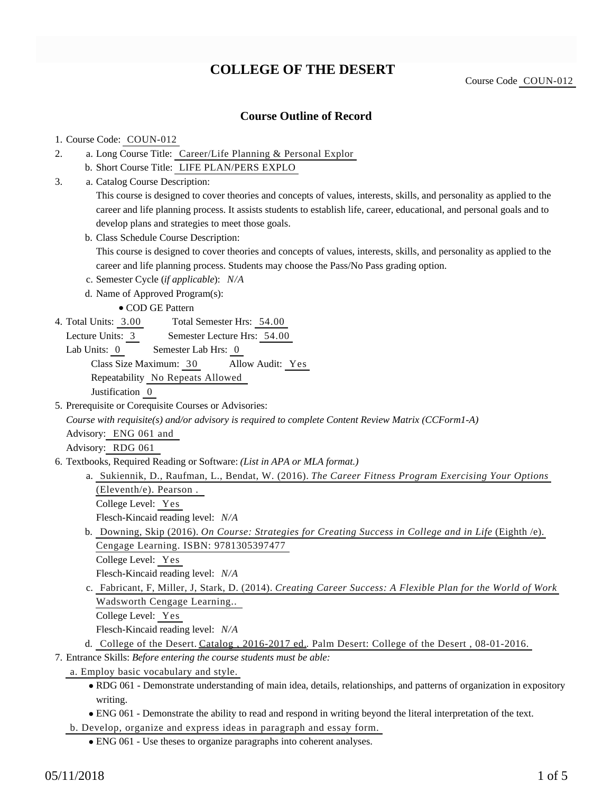# **COLLEGE OF THE DESERT**

Course Code COUN-012

## **Course Outline of Record**

#### 1. Course Code: COUN-012

- a. Long Course Title: Career/Life Planning & Personal Explor 2.
	- b. Short Course Title: LIFE PLAN/PERS EXPLO
- Catalog Course Description: a. 3.

This course is designed to cover theories and concepts of values, interests, skills, and personality as applied to the career and life planning process. It assists students to establish life, career, educational, and personal goals and to develop plans and strategies to meet those goals.

b. Class Schedule Course Description:

This course is designed to cover theories and concepts of values, interests, skills, and personality as applied to the career and life planning process. Students may choose the Pass/No Pass grading option.

- c. Semester Cycle (*if applicable*): *N/A*
- d. Name of Approved Program(s):
	- COD GE Pattern
- Total Semester Hrs: 54.00 4. Total Units: 3.00
	- Lecture Units: 3 Semester Lecture Hrs: 54.00
	- Lab Units: 0 Semester Lab Hrs: 0 Class Size Maximum: 30 Allow Audit: Yes Repeatability No Repeats Allowed Justification 0
- 5. Prerequisite or Corequisite Courses or Advisories:

*Course with requisite(s) and/or advisory is required to complete Content Review Matrix (CCForm1-A)*

Advisory: ENG 061 and

Advisory: RDG 061

- 6. Textbooks, Required Reading or Software: (List in APA or MLA format.)
	- a. Sukiennik, D., Raufman, L., Bendat, W. (2016). *The Career Fitness Program Exercising Your Options* (Eleventh/e). Pearson . College Level: Yes
		- Flesch-Kincaid reading level: *N/A*
	- b. Downing, Skip (2016). On Course: Strategies for Creating Success in College and in Life (Eighth /e). Cengage Learning. ISBN: 9781305397477

```
College Level: Yes
```
Flesch-Kincaid reading level: *N/A*

- c. Fabricant, F, Miller, J, Stark, D. (2014). *Creating Career Success: A Flexible Plan for the World of Work* Wadsworth Cengage Learning..
	- College Level: Yes

Flesch-Kincaid reading level: *N/A*

- d. College of the Desert. Catalog , 2016-2017 ed. Palm Desert: College of the Desert, 08-01-2016.
- Entrance Skills: *Before entering the course students must be able:* 7.
- a. Employ basic vocabulary and style.
	- RDG 061 Demonstrate understanding of main idea, details, relationships, and patterns of organization in expository writing.
	- ENG 061 Demonstrate the ability to read and respond in writing beyond the literal interpretation of the text.

b. Develop, organize and express ideas in paragraph and essay form.

ENG 061 - Use theses to organize paragraphs into coherent analyses.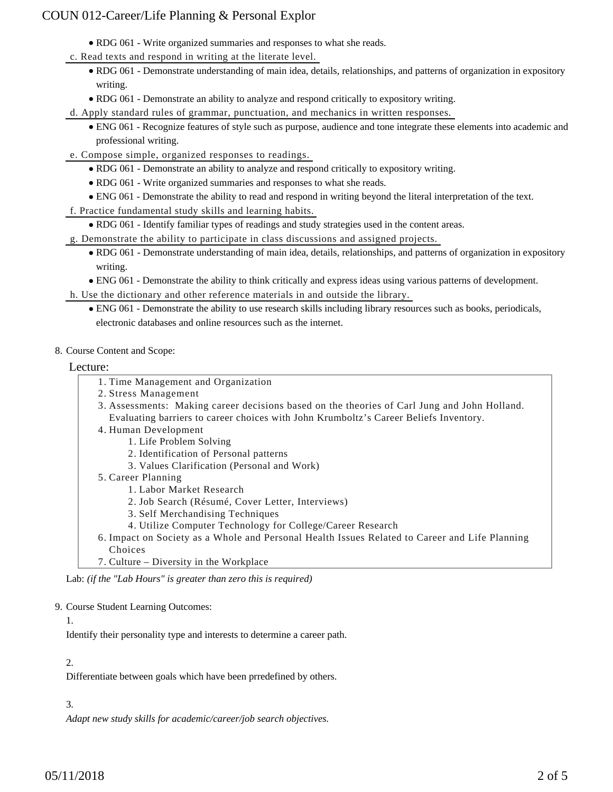- RDG 061 Write organized summaries and responses to what she reads.
- c. Read texts and respond in writing at the literate level.
	- RDG 061 Demonstrate understanding of main idea, details, relationships, and patterns of organization in expository writing.
	- RDG 061 Demonstrate an ability to analyze and respond critically to expository writing.
- d. Apply standard rules of grammar, punctuation, and mechanics in written responses.
	- ENG 061 Recognize features of style such as purpose, audience and tone integrate these elements into academic and professional writing.
- e. Compose simple, organized responses to readings.
	- RDG 061 Demonstrate an ability to analyze and respond critically to expository writing.
	- RDG 061 Write organized summaries and responses to what she reads.
	- ENG 061 Demonstrate the ability to read and respond in writing beyond the literal interpretation of the text.
- f. Practice fundamental study skills and learning habits.
	- RDG 061 Identify familiar types of readings and study strategies used in the content areas.
- g. Demonstrate the ability to participate in class discussions and assigned projects.
	- RDG 061 Demonstrate understanding of main idea, details, relationships, and patterns of organization in expository writing.
	- ENG 061 Demonstrate the ability to think critically and express ideas using various patterns of development.
- h. Use the dictionary and other reference materials in and outside the library.
	- ENG 061 Demonstrate the ability to use research skills including library resources such as books, periodicals, electronic databases and online resources such as the internet.
- 8. Course Content and Scope:

#### Lecture:

- 1. Time Management and Organization
- 2. Stress Management
- Assessments: Making career decisions based on the theories of Carl Jung and John Holland. 3. Evaluating barriers to career choices with John Krumboltz's Career Beliefs Inventory.
- 4. Human Development
	- 1. Life Problem Solving
	- 2. Identification of Personal patterns
	- 3. Values Clarification (Personal and Work)
- 5. Career Planning
	- 1. Labor Market Research
	- 2. Job Search (Résumé, Cover Letter, Interviews)
	- 3. Self Merchandising Techniques
	- 4. Utilize Computer Technology for College/Career Research
- 6. Impact on Society as a Whole and Personal Health Issues Related to Career and Life Planning Choices
- 7. Culture Diversity in the Workplace

Lab: *(if the "Lab Hours" is greater than zero this is required)*

#### 9. Course Student Learning Outcomes:

#### 1.

Identify their personality type and interests to determine a career path.

## 2.

Differentiate between goals which have been prredefined by others.

## 3.

*Adapt new study skills for academic/career/job search objectives.*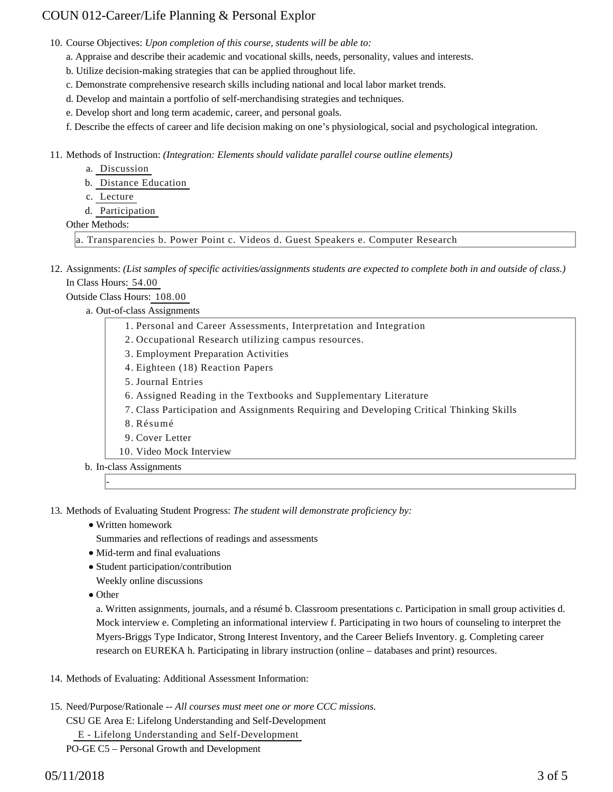10. Course Objectives: Upon completion of this course, students will be able to:

- a. Appraise and describe their academic and vocational skills, needs, personality, values and interests.
- b. Utilize decision-making strategies that can be applied throughout life.
- c. Demonstrate comprehensive research skills including national and local labor market trends.
- d. Develop and maintain a portfolio of self-merchandising strategies and techniques.
- e. Develop short and long term academic, career, and personal goals.

f. Describe the effects of career and life decision making on one's physiological, social and psychological integration.

11. Methods of Instruction: *(Integration: Elements should validate parallel course outline elements)* 

- a. Discussion
- b. Distance Education
- c. Lecture
- d. Participation

#### Other Methods:

a. Transparencies b. Power Point c. Videos d. Guest Speakers e. Computer Research

12. Assignments: (List samples of specific activities/assignments students are expected to complete both in and outside of class.) In Class Hours: 54.00

Outside Class Hours: 108.00

a. Out-of-class Assignments

| 1. Personal and Career Assessments, Interpretation and Integration                       |  |  |  |  |  |
|------------------------------------------------------------------------------------------|--|--|--|--|--|
| 2. Occupational Research utilizing campus resources.                                     |  |  |  |  |  |
| 3. Employment Preparation Activities                                                     |  |  |  |  |  |
| 4. Eighteen (18) Reaction Papers                                                         |  |  |  |  |  |
| 5. Journal Entries                                                                       |  |  |  |  |  |
| 6. Assigned Reading in the Textbooks and Supplementary Literature                        |  |  |  |  |  |
| 7. Class Participation and Assignments Requiring and Developing Critical Thinking Skills |  |  |  |  |  |
| 8. Résumé                                                                                |  |  |  |  |  |
| 9. Cover Letter                                                                          |  |  |  |  |  |
| 10. Video Mock Interview                                                                 |  |  |  |  |  |
| b. In-class Assignments                                                                  |  |  |  |  |  |
|                                                                                          |  |  |  |  |  |

13. Methods of Evaluating Student Progress: The student will demonstrate proficiency by:

- Written homework
	- Summaries and reflections of readings and assessments
- Mid-term and final evaluations
- Student participation/contribution
- Weekly online discussions
- Other

a. Written assignments, journals, and a résumé b. Classroom presentations c. Participation in small group activities d. Mock interview e. Completing an informational interview f. Participating in two hours of counseling to interpret the Myers-Briggs Type Indicator, Strong Interest Inventory, and the Career Beliefs Inventory. g. Completing career research on EUREKA h. Participating in library instruction (online – databases and print) resources.

- 14. Methods of Evaluating: Additional Assessment Information:
- 15. Need/Purpose/Rationale -- All courses must meet one or more CCC missions.

CSU GE Area E: Lifelong Understanding and Self-Development

E - Lifelong Understanding and Self-Development

PO-GE C5 – Personal Growth and Development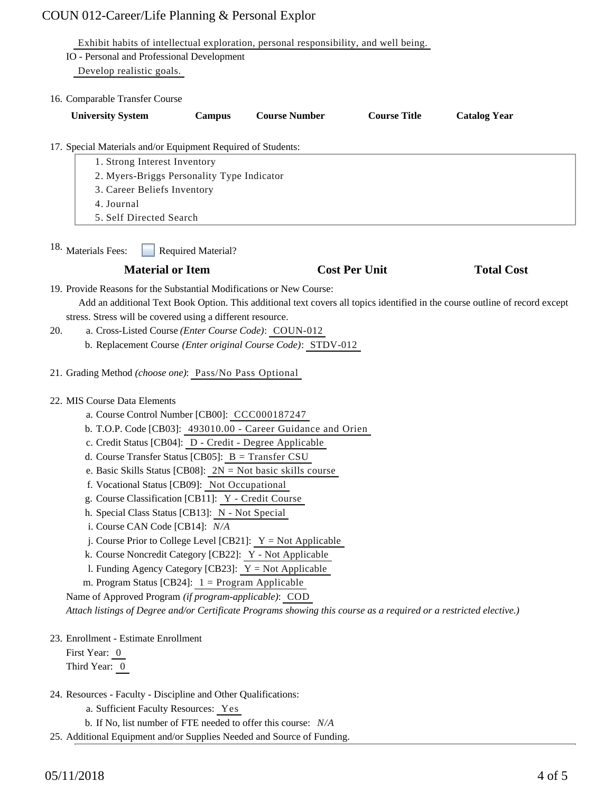| Exhibit habits of intellectual exploration, personal responsibility, and well being.                                         |                                                              |                      |                     |                     |  |  |  |
|------------------------------------------------------------------------------------------------------------------------------|--------------------------------------------------------------|----------------------|---------------------|---------------------|--|--|--|
| IO - Personal and Professional Development                                                                                   |                                                              |                      |                     |                     |  |  |  |
| Develop realistic goals.                                                                                                     |                                                              |                      |                     |                     |  |  |  |
| 16. Comparable Transfer Course                                                                                               |                                                              |                      |                     |                     |  |  |  |
| <b>University System</b>                                                                                                     | Campus                                                       | <b>Course Number</b> | <b>Course Title</b> | <b>Catalog Year</b> |  |  |  |
|                                                                                                                              |                                                              |                      |                     |                     |  |  |  |
| 17. Special Materials and/or Equipment Required of Students:<br>1. Strong Interest Inventory                                 |                                                              |                      |                     |                     |  |  |  |
| 2. Myers-Briggs Personality Type Indicator                                                                                   |                                                              |                      |                     |                     |  |  |  |
| 3. Career Beliefs Inventory                                                                                                  |                                                              |                      |                     |                     |  |  |  |
| 4. Journal                                                                                                                   |                                                              |                      |                     |                     |  |  |  |
|                                                                                                                              | 5. Self Directed Search                                      |                      |                     |                     |  |  |  |
| 18. Materials Fees:<br><b>Required Material?</b>                                                                             |                                                              |                      |                     |                     |  |  |  |
| <b>Material or Item</b>                                                                                                      |                                                              | <b>Cost Per Unit</b> |                     | <b>Total Cost</b>   |  |  |  |
| 19. Provide Reasons for the Substantial Modifications or New Course:                                                         |                                                              |                      |                     |                     |  |  |  |
| Add an additional Text Book Option. This additional text covers all topics identified in the course outline of record except |                                                              |                      |                     |                     |  |  |  |
|                                                                                                                              | stress. Stress will be covered using a different resource.   |                      |                     |                     |  |  |  |
| a. Cross-Listed Course (Enter Course Code): COUN-012<br>20.                                                                  |                                                              |                      |                     |                     |  |  |  |
|                                                                                                                              | b. Replacement Course (Enter original Course Code): STDV-012 |                      |                     |                     |  |  |  |
| 21. Grading Method (choose one): Pass/No Pass Optional                                                                       |                                                              |                      |                     |                     |  |  |  |
| 22. MIS Course Data Elements                                                                                                 |                                                              |                      |                     |                     |  |  |  |
| a. Course Control Number [CB00]: CCC000187247                                                                                |                                                              |                      |                     |                     |  |  |  |
| b. T.O.P. Code [CB03]: 493010.00 - Career Guidance and Orien                                                                 |                                                              |                      |                     |                     |  |  |  |
|                                                                                                                              | c. Credit Status [CB04]: D - Credit - Degree Applicable      |                      |                     |                     |  |  |  |
| d. Course Transfer Status [CB05]: $B = Transfer CSU$                                                                         |                                                              |                      |                     |                     |  |  |  |
| e. Basic Skills Status [CB08]: $2N = Not basic skills course$                                                                |                                                              |                      |                     |                     |  |  |  |
| f. Vocational Status [CB09]: Not Occupational                                                                                |                                                              |                      |                     |                     |  |  |  |
| g. Course Classification [CB11]: Y - Credit Course                                                                           |                                                              |                      |                     |                     |  |  |  |
| h. Special Class Status [CB13]: N - Not Special                                                                              |                                                              |                      |                     |                     |  |  |  |
|                                                                                                                              | i. Course CAN Code [CB14]: N/A                               |                      |                     |                     |  |  |  |
| j. Course Prior to College Level [CB21]: $Y = Not Applicable$<br>k. Course Noncredit Category [CB22]: Y - Not Applicable     |                                                              |                      |                     |                     |  |  |  |
| 1. Funding Agency Category [CB23]: $Y = Not$ Applicable                                                                      |                                                              |                      |                     |                     |  |  |  |
| m. Program Status [CB24]: $1 =$ Program Applicable                                                                           |                                                              |                      |                     |                     |  |  |  |
| Name of Approved Program (if program-applicable): COD                                                                        |                                                              |                      |                     |                     |  |  |  |
| Attach listings of Degree and/or Certificate Programs showing this course as a required or a restricted elective.)           |                                                              |                      |                     |                     |  |  |  |
| 23. Enrollment - Estimate Enrollment                                                                                         |                                                              |                      |                     |                     |  |  |  |
| First Year: 0                                                                                                                |                                                              |                      |                     |                     |  |  |  |
| Third Year: 0                                                                                                                |                                                              |                      |                     |                     |  |  |  |
| 24. Resources - Faculty - Discipline and Other Qualifications:                                                               |                                                              |                      |                     |                     |  |  |  |
|                                                                                                                              | a. Sufficient Faculty Resources: Yes                         |                      |                     |                     |  |  |  |

- b. If No, list number of FTE needed to offer this course: *N/A*
- 25. Additional Equipment and/or Supplies Needed and Source of Funding.